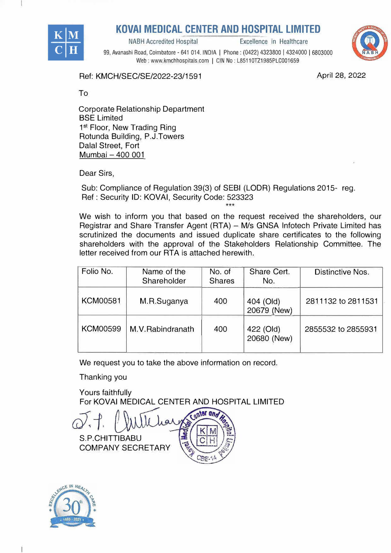

# <u>**ULINTEN AND NOU**</u>

NABH Accredited Hospital **Excellence** in Healthcare



**KOVAI MEDICAL CENTER AND HOSPITAL LIMITED**<br>
MABH Accredited Hospital<br>
99, Avanashi Road, Coimbatore - 641 014. INDIA | Phone : (0422) 4323800 | 4324000 | 6803<br>
Web : www.kmchhospitals.com | CIN No : L85110TZ1985PLC001659 99, Avanashi Road, Coimbatore - 641 014. INDIA I Phone: (0422) 4323800 I 4324000 I 6803000 Web: www.kmchhospitals.com | CIN No: L85110TZ1985PLC001659

Ref: KMCH/S EC/SE/2022-23/1591

**April 28, 2022** 

To

Corporate Relationship Department **BSE Limited** 1<sup>st</sup> Floor, New Trading Ring Rotunda Building, P.J.Towers Dalal Street, Fort Mumbai - 400 001

Dear Sirs,

Sub: Compliance of Regulation 39(3) of SEBI (LODR) Regulations 2015- reg. Ref: Security ID: KOVAi, Security Code: 523323  $***$ 

We wish to inform you that based on the request received the shareholders, our Registrar and Share Transfer Agent (RTA) - M/s GNSA Infotech Private Limited has scrutinized the documents and issued duplicate share certificates to the following shareholders with the approval of the Stakeholders Relationship Committee. The letter received from our RTA is attached herewith.

| Folio No.       | Name of the<br>Shareholder | No. of<br><b>Shares</b> | Share Cert.<br>No.       | Distinctive Nos.   |
|-----------------|----------------------------|-------------------------|--------------------------|--------------------|
| <b>KCM00581</b> | M.R.Suganya                | 400                     | 404 (Old)<br>20679 (New) | 2811132 to 2811531 |
| <b>KCM00599</b> | M.V.Rabindranath           | 400                     | 422 (Old)<br>20680 (New) | 2855532 to 2855931 |

We request you to take the above information on record.

Thanking you

Yours faithfully For KOVAi MEDICAL CENTER AND HOSPITAL LIMITED

enter and S.P.CHITTIBABU COMPANY SECRETARY

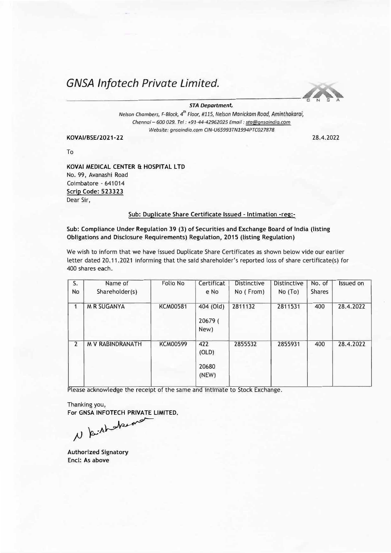# *GNSA lnfotech Private Limited.*



### *STA Department,*

*Nelson Chambers, F-Block, 4 th Floor, #115, Nelson Monickam Road, Aminthakarai, Chennai- 600 029. Tel: +91-44-42962025 Email: sta@qnsaindia.com Website: gnsaindia.com CIN-U65993TN1994PTC027878* 

## **KOVAI/BSE/2021-2 2** 28.4.2022

To

**KOVAi MEDICAL CENTER** & **HOSPITAL LTD**  No. 99, Avanashi Road Coimbatore - 641014 **Scrip Code: 523323**  Dear Sir,

## Sub: Duplicate Share Certificate Issued - Intimation -reg:-

Sub: Compliance Under Regulation 39 (3) of Securities and Exchange Board of India (listing Obligations and Disclosure Requirements) Regulation, 2015 (listing Regulation)

We wish to inform that *we* have issued Duplicate Share Certificates as shown below vide our earlier letter dated 20.11.2021 informing that the said shareholder's reported loss of share certificate(s) for 400 shares each.

| S.<br><b>No</b> | Name of<br>Shareholder(s) | Folio No        | Certificat<br>e No             | <b>Distinctive</b><br>No (From) | <b>Distinctive</b><br>No(To) | No. of<br><b>Shares</b> | Issued on |
|-----------------|---------------------------|-----------------|--------------------------------|---------------------------------|------------------------------|-------------------------|-----------|
| 1               | <b>M R SUGANYA</b>        | <b>KCM00581</b> | 404 (Old)<br>20679 (<br>New)   | 2811132                         | 2811531                      | 400                     | 28.4.2022 |
| $\overline{2}$  | <b>M V RABINDRANATH</b>   | <b>KCM00599</b> | 422<br>(OLD)<br>20680<br>(NEW) | 2855532                         | 2855931                      | 400                     | 28.4.2022 |

Please acknowledge the receipt of the same and intimate to Stock Exchange.

Thanking you, For **GNSA INFOTECH PRIVATE LIMITED.** 

*jJ )i,:!J·--�---*

**Authorized Signatory**  Encl: As **above**